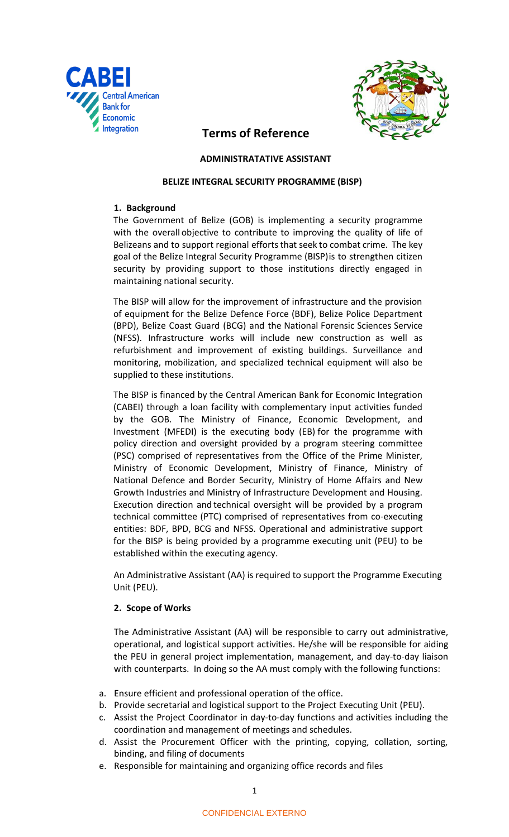



# **Terms of Reference**

## **ADMINISTRATATIVE ASSISTANT**

## **BELIZE INTEGRAL SECURITY PROGRAMME (BISP)**

## **1. Background**

The Government of Belize (GOB) is implementing a security programme with the overall objective to contribute to improving the quality of life of Belizeans and to support regional effortsthat seek to combat crime. The key goal of the Belize Integral Security Programme (BISP)is to strengthen citizen security by providing support to those institutions directly engaged in maintaining national security.

The BISP will allow for the improvement of infrastructure and the provision of equipment for the Belize Defence Force (BDF), Belize Police Department (BPD), Belize Coast Guard (BCG) and the National Forensic Sciences Service (NFSS). Infrastructure works will include new construction as well as refurbishment and improvement of existing buildings. Surveillance and monitoring, mobilization, and specialized technical equipment will also be supplied to these institutions.

The BISP is financed by the Central American Bank for Economic Integration (CABEI) through a loan facility with complementary input activities funded by the GOB. The Ministry of Finance, Economic Development, and Investment (MFEDI) is the executing body (EB) for the programme with policy direction and oversight provided by a program steering committee (PSC) comprised of representatives from the Office of the Prime Minister, Ministry of Economic Development, Ministry of Finance, Ministry of National Defence and Border Security, Ministry of Home Affairs and New Growth Industries and Ministry of Infrastructure Development and Housing. Execution direction and technical oversight will be provided by a program technical committee (PTC) comprised of representatives from co-executing entities: BDF, BPD, BCG and NFSS. Operational and administrative support for the BISP is being provided by a programme executing unit (PEU) to be established within the executing agency.

An Administrative Assistant (AA) is required to support the Programme Executing Unit (PEU).

## **2. Scope of Works**

The Administrative Assistant (AA) will be responsible to carry out administrative, operational, and logistical support activities. He/she will be responsible for aiding the PEU in general project implementation, management, and day-to-day liaison with counterparts. In doing so the AA must comply with the following functions:

- a. Ensure efficient and professional operation of the office.
- b. Provide secretarial and logistical support to the Project Executing Unit (PEU).
- c. Assist the Project Coordinator in day-to-day functions and activities including the coordination and management of meetings and schedules.
- d. Assist the Procurement Officer with the printing, copying, collation, sorting, binding, and filing of documents
- e. Responsible for maintaining and organizing office records and files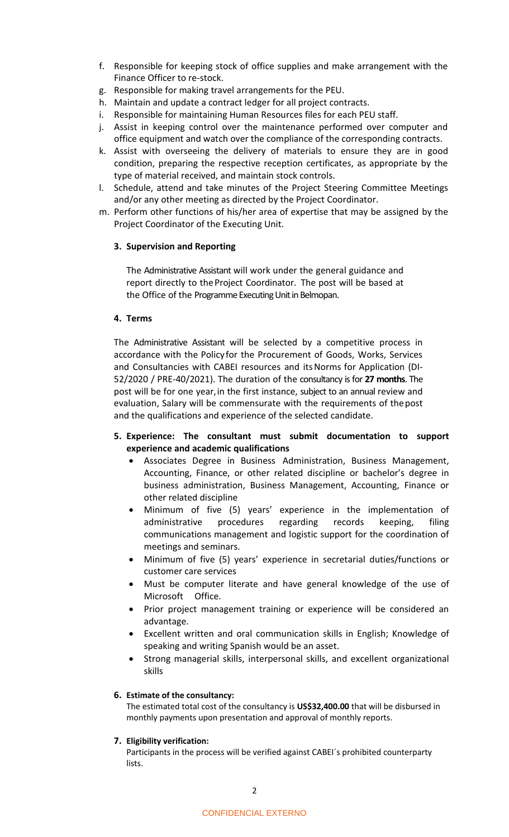- f. Responsible for keeping stock of office supplies and make arrangement with the Finance Officer to re-stock.
- g. Responsible for making travel arrangements for the PEU.
- h. Maintain and update a contract ledger for all project contracts.
- i. Responsible for maintaining Human Resources files for each PEU staff.
- j. Assist in keeping control over the maintenance performed over computer and office equipment and watch over the compliance of the corresponding contracts.
- k. Assist with overseeing the delivery of materials to ensure they are in good condition, preparing the respective reception certificates, as appropriate by the type of material received, and maintain stock controls.
- l. Schedule, attend and take minutes of the Project Steering Committee Meetings and/or any other meeting as directed by the Project Coordinator.
- m. Perform other functions of his/her area of expertise that may be assigned by the Project Coordinator of the Executing Unit.

## **3. Supervision and Reporting**

The Administrative Assistant will work under the general guidance and report directly to the Project Coordinator. The post will be based at the Office of the Programme Executing Unit in Belmopan.

## **4. Terms**

The Administrative Assistant will be selected by a competitive process in accordance with the Policy for the Procurement of Goods, Works, Services and Consultancies with CABEI resources and itsNorms for Application (DI-52/2020 / PRE-40/2021). The duration of the consultancy is for **27 months**. The post will be for one year,in the first instance, subject to an annual review and evaluation, Salary will be commensurate with the requirements of thepost and the qualifications and experience of the selected candidate.

- **5. Experience: The consultant must submit documentation to support experience and academic qualifications**
	- Associates Degree in Business Administration, Business Management, Accounting, Finance, or other related discipline or bachelor's degree in business administration, Business Management, Accounting, Finance or other related discipline
	- Minimum of five (5) years' experience in the implementation of administrative procedures regarding records keeping, filing communications management and logistic support for the coordination of meetings and seminars.
	- Minimum of five (5) years' experience in secretarial duties/functions or customer care services
	- Must be computer literate and have general knowledge of the use of Microsoft Office.
	- Prior project management training or experience will be considered an advantage.
	- Excellent written and oral communication skills in English; Knowledge of speaking and writing Spanish would be an asset.
	- Strong managerial skills, interpersonal skills, and excellent organizational skills

## **6. Estimate of the consultancy:**

The estimated total cost of the consultancy is **US\$32,400.00** that will be disbursed in monthly payments upon presentation and approval of monthly reports.

## **7. Eligibility verification:**

Participants in the process will be verified against CABEI´s prohibited counterparty lists.